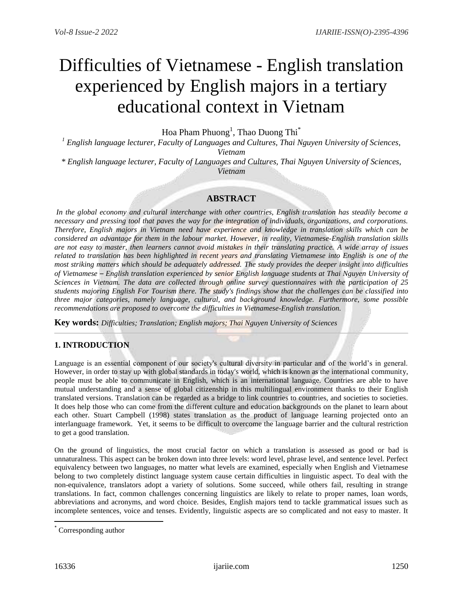# Difficulties of Vietnamese - English translation experienced by English majors in a tertiary educational context in Vietnam

Hoa Pham Phuong<sup>1</sup>, Thao Duong Thi $^*$ 

*<sup>1</sup> English language lecturer, Faculty of Languages and Cultures, Thai Nguyen University of Sciences, Vietnam*

*\* English language lecturer, Faculty of Languages and Cultures, Thai Nguyen University of Sciences, Vietnam*

# **ABSTRACT**

*In the global economy and cultural interchange with other countries, English translation has steadily become a necessary and pressing tool that paves the way for the integration of individuals, organizations, and corporations. Therefore, English majors in Vietnam need have experience and knowledge in translation skills which can be considered an advantage for them in the labour market. However, in reality, Vietnamese-English translation skills are not easy to master, then learners cannot avoid mistakes in their translating practice. A wide array of issues related to translation has been highlighted in recent years and translating Vietnamese into English is one of the most striking matters which should be adequately addressed. The study provides the deeper insight into difficulties of Vietnamese – English translation experienced by senior English language students at Thai Nguyen University of Sciences in Vietnam. The data are collected through online survey questionnaires with the participation of 25 students majoring English For Tourism there. The study's findings show that the challenges can be classified into three major categories, namely language, cultural, and background knowledge. Furthermore, some possible recommendations are proposed to overcome the difficulties in Vietnamese-English translation.*

**Key words:** *Difficulties; Translation; English majors; Thai Nguyen University of Sciences*

# **1. INTRODUCTION**

Language is an essential component of our society's cultural diversity in particular and of the world's in general. However, in order to stay up with global standards in today's world, which is known as the international community, people must be able to communicate in English, which is an international language. Countries are able to have mutual understanding and a sense of global citizenship in this multilingual environment thanks to their English translated versions. Translation can be regarded as a bridge to link countries to countries, and societies to societies. It does help those who can come from the different culture and education backgrounds on the planet to learn about each other. Stuart Campbell (1998) states translation as the product of language learning projected onto an interlanguage framework. Yet, it seems to be difficult to overcome the language barrier and the cultural restriction to get a good translation.

On the ground of linguistics, the most crucial factor on which a translation is assessed as good or bad is unnaturalness. This aspect can be broken down into three levels: word level, phrase level, and sentence level. Perfect equivalency between two languages, no matter what levels are examined, especially when English and Vietnamese belong to two completely distinct language system cause certain difficulties in linguistic aspect. To deal with the non-equivalence, translators adopt a variety of solutions. Some succeed, while others fail, resulting in strange translations. In fact, common challenges concerning linguistics are likely to relate to proper names, loan words, abbreviations and acronyms, and word choice. Besides, English majors tend to tackle grammatical issues such as incomplete sentences, voice and tenses. Evidently, linguistic aspects are so complicated and not easy to master. It

l

<sup>\*</sup> Corresponding author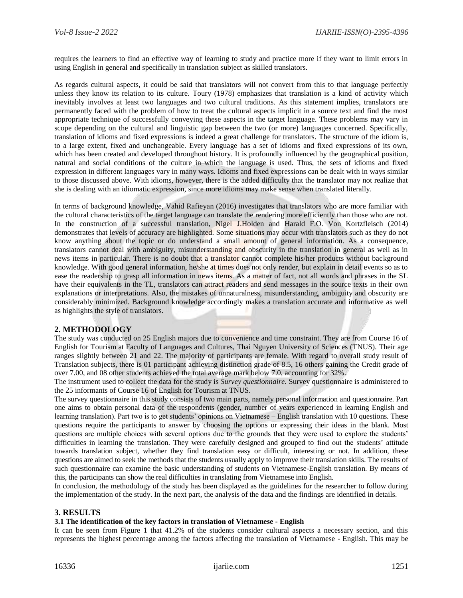requires the learners to find an effective way of learning to study and practice more if they want to limit errors in using English in general and specifically in translation subject as skilled translators.

As regards cultural aspects, it could be said that translators will not convert from this to that language perfectly unless they know its relation to its culture. Toury (1978) emphasizes that translation is a kind of activity which inevitably involves at least two languages and two cultural traditions. As this statement implies, translators are permanently faced with the problem of how to treat the cultural aspects implicit in a source text and find the most appropriate technique of successfully conveying these aspects in the target language. These problems may vary in scope depending on the cultural and linguistic gap between the two (or more) languages concerned. Specifically, translation of idioms and fixed expressions is indeed a great challenge for translators. The structure of the idiom is, to a large extent, fixed and unchangeable. Every language has a set of idioms and fixed expressions of its own, which has been created and developed throughout history. It is profoundly influenced by the geographical position, natural and social conditions of the culture in which the language is used. Thus, the sets of idioms and fixed expression in different languages vary in many ways. Idioms and fixed expressions can be dealt with in ways similar to those discussed above. With idioms, however, there is the added difficulty that the translator may not realize that she is dealing with an idiomatic expression, since more idioms may make sense when translated literally.

In terms of background knowledge, Vahid Rafieyan (2016) investigates that translators who are more familiar with the cultural characteristics of the target language can translate the rendering more efficiently than those who are not. In the construction of a successful translation, Nigel J.Holden and Harald F.O. Von Kortzfleisch (2014) demonstrates that levels of accuracy are highlighted. Some situations may occur with translators such as they do not know anything about the topic or do understand a small amount of general information. As a consequence, translators cannot deal with ambiguity, misunderstanding and obscurity in the translation in general as well as in news items in particular. There is no doubt that a translator cannot complete his/her products without background knowledge. With good general information, he/she at times does not only render, but explain in detail events so as to ease the readership to grasp all information in news items. As a matter of fact, not all words and phrases in the SL have their equivalents in the TL, translators can attract readers and send messages in the source texts in their own explanations or interpretations. Also, the mistakes of unnaturalness, misunderstanding, ambiguity and obscurity are considerably minimized. Background knowledge accordingly makes a translation accurate and informative as well as highlights the style of translators.

# **2. METHODOLOGY**

The study was conducted on 25 English majors due to convenience and time constraint. They are from Course 16 of English for Tourism at Faculty of Languages and Cultures, Thai Nguyen University of Sciences (TNUS). Their age ranges slightly between 21 and 22. The majority of participants are female. With regard to overall study result of Translation subjects, there is 01 participant achieving distinction grade of 8.5, 16 others gaining the Credit grade of over 7.00, and 08 other students achieved the total average mark below 7.0, accounting for 32%.

The instrument used to collect the data for the study is *Survey questionnaire.* Survey questionnaire is administered to the 25 informants of Course 16 of English for Tourism at TNUS.

The survey questionnaire in this study consists of two main parts, namely personal information and questionnaire. Part one aims to obtain personal data of the respondents (gender, number of years experienced in learning English and learning translation). Part two is to get students' opinions on Vietnamese – English translation with 10 questions. These questions require the participants to answer by choosing the options or expressing their ideas in the blank. Most questions are multiple choices with several options due to the grounds that they were used to explore the students' difficulties in learning the translation. They were carefully designed and grouped to find out the students' attitude towards translation subject, whether they find translation easy or difficult, interesting or not. In addition, these questions are aimed to seek the methods that the students usually apply to improve their translation skills. The results of such questionnaire can examine the basic understanding of students on Vietnamese-English translation. By means of this, the participants can show the real difficulties in translating from Vietnamese into English.

In conclusion, the methodology of the study has been displayed as the guidelines for the researcher to follow during the implementation of the study. In the next part, the analysis of the data and the findings are identified in details.

# **3. RESULTS**

#### **3.1 The identification of the key factors in translation of Vietnamese - English**

It can be seen from Figure 1 that 41.2% of the students consider cultural aspects a necessary section, and this represents the highest percentage among the factors affecting the translation of Vietnamese - English. This may be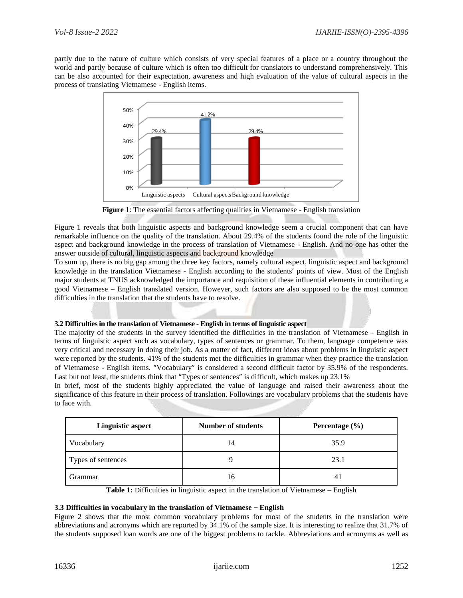partly due to the nature of culture which consists of very special features of a place or a country throughout the world and partly because of culture which is often too difficult for translators to understand comprehensively. This can be also accounted for their expectation, awareness and high evaluation of the value of cultural aspects in the process of translating Vietnamese - English items.



**Figure 1**: The essential factors affecting qualities in Vietnamese - English translation

Figure 1 reveals that both linguistic aspects and background knowledge seem a crucial component that can have remarkable influence on the quality of the translation. About 29.4% of the students found the role of the linguistic aspect and background knowledge in the process of translation of Vietnamese - English. And no one has other the answer outside of cultural, linguistic aspects and background knowledge

To sum up, there is no big gap among the three key factors, namely cultural aspect, linguistic aspect and background knowledge in the translation Vietnamese - English according to the students' points of view. Most of the English major students at TNUS acknowledged the importance and requisition of these influential elements in contributing a good Vietnamese – English translated version. However, such factors are also supposed to be the most common difficulties in the translation that the students have to resolve.

#### **3.2 Difficulties in the translation of Vietnamese - English in terms of linguistic aspect**

The majority of the students in the survey identified the difficulties in the translation of Vietnamese - English in terms of linguistic aspect such as vocabulary, types of sentences or grammar. To them, language competence was very critical and necessary in doing their job. As a matter of fact, different ideas about problems in linguistic aspect were reported by the students. 41% of the students met the difficulties in grammar when they practice the translation of Vietnamese - English items. "Vocabulary" is considered a second difficult factor by 35.9% of the respondents. Last but not least, the students think that "Types of sentences" is difficult, which makes up 23.1%

In brief, most of the students highly appreciated the value of language and raised their awareness about the significance of this feature in their process of translation. Followings are vocabulary problems that the students have to face with.

| <b>Linguistic aspect</b> | <b>Number of students</b> | Percentage $(\% )$ |
|--------------------------|---------------------------|--------------------|
| Vocabulary               | 14                        | 35.9               |
| Types of sentences       |                           | 23.1               |
| Grammar                  | 16                        | 4 <sub>1</sub>     |

Table 1: Difficulties in linguistic aspect in the translation of Vietnamese – English

#### **3.3 Difficulties in vocabulary in the translation of Vietnamese – English**

Figure 2 shows that the most common vocabulary problems for most of the students in the translation were abbreviations and acronyms which are reported by 34.1% of the sample size. It is interesting to realize that 31.7% of the students supposed loan words are one of the biggest problems to tackle. Abbreviations and acronyms as well as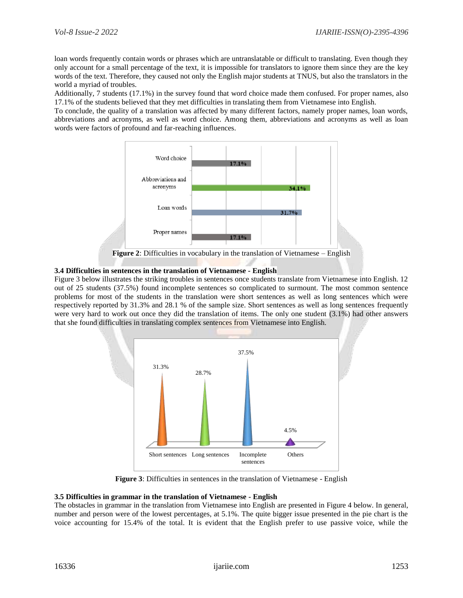loan words frequently contain words or phrases which are untranslatable or difficult to translating. Even though they only account for a small percentage of the text, it is impossible for translators to ignore them since they are the key words of the text. Therefore, they caused not only the English major students at TNUS, but also the translators in the world a myriad of troubles.

Additionally, 7 students (17.1%) in the survey found that word choice made them confused. For proper names, also 17.1% of the students believed that they met difficulties in translating them from Vietnamese into English.

To conclude, the quality of a translation was affected by many different factors, namely proper names, loan words, abbreviations and acronyms, as well as word choice. Among them, abbreviations and acronyms as well as loan words were factors of profound and far-reaching influences.



## **3.4 Difficulties in sentences in the translation of Vietnamese - English**

Figure 3 below illustrates the striking troubles in sentences once students translate from Vietnamese into English. 12 out of 25 students (37.5%) found incomplete sentences so complicated to surmount. The most common sentence problems for most of the students in the translation were short sentences as well as long sentences which were respectively reported by 31.3% and 28.1 % of the sample size. Short sentences as well as long sentences frequently were very hard to work out once they did the translation of items. The only one student (3.1%) had other answers that she found difficulties in translating complex sentences from Vietnamese into English.



**Figure 3**: Difficulties in sentences in the translation of Vietnamese - English

#### **3.5 Difficulties in grammar in the translation of Vietnamese - English**

The obstacles in grammar in the translation from Vietnamese into English are presented in Figure 4 below. In general, number and person were of the lowest percentages, at 5.1%. The quite bigger issue presented in the pie chart is the voice accounting for 15.4% of the total. It is evident that the English prefer to use passive voice, while the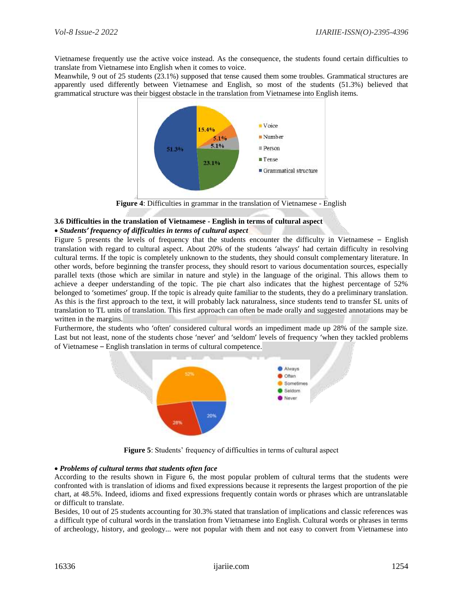Vietnamese frequently use the active voice instead. As the consequence, the students found certain difficulties to translate from Vietnamese into English when it comes to voice.

Meanwhile, 9 out of 25 students (23.1%) supposed that tense caused them some troubles. Grammatical structures are apparently used differently between Vietnamese and English, so most of the students (51.3%) believed that grammatical structure was their biggest obstacle in the translation from Vietnamese into English items.



**Figure 4**: Difficulties in grammar in the translation of Vietnamese - English

## **3.6 Difficulties in the translation of Vietnamese - English in terms of cultural aspect**

#### *Students' frequency of difficulties in terms of cultural aspect*

Figure 5 presents the levels of frequency that the students encounter the difficulty in Vietnamese – English translation with regard to cultural aspect. About 20% of the students 'always' had certain difficulty in resolving cultural terms. If the topic is completely unknown to the students, they should consult complementary literature. In other words, before beginning the transfer process, they should resort to various documentation sources, especially parallel texts (those which are similar in nature and style) in the language of the original. This allows them to achieve a deeper understanding of the topic. The pie chart also indicates that the highest percentage of 52% belonged to 'sometimes' group. If the topic is already quite familiar to the students, they do a preliminary translation. As this is the first approach to the text, it will probably lack naturalness, since students tend to transfer SL units of translation to TL units of translation. This first approach can often be made orally and suggested annotations may be written in the margins.

Furthermore, the students who 'often' considered cultural words an impediment made up 28% of the sample size. Last but not least, none of the students chose 'never' and 'seldom' levels of frequency 'when they tackled problems of Vietnamese – English translation in terms of cultural competence.



**Figure 5**: Students' frequency of difficulties in terms of cultural aspect

#### *Problems of cultural terms that students often face*

According to the results shown in Figure 6, the most popular problem of cultural terms that the students were confronted with is translation of idioms and fixed expressions because it represents the largest proportion of the pie chart, at 48.5%. Indeed, idioms and fixed expressions frequently contain words or phrases which are untranslatable or difficult to translate.

Besides, 10 out of 25 students accounting for 30.3% stated that translation of implications and classic references was a difficult type of cultural words in the translation from Vietnamese into English. Cultural words or phrases in terms of archeology, history, and geology... were not popular with them and not easy to convert from Vietnamese into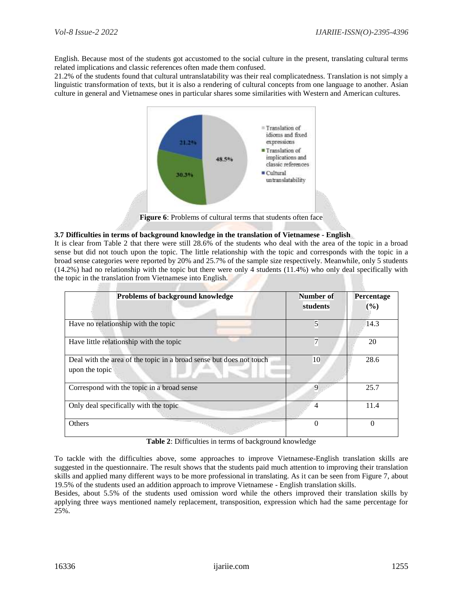English. Because most of the students got accustomed to the social culture in the present, translating cultural terms related implications and classic references often made them confused.

21.2% of the students found that cultural untranslatability was their real complicatedness. Translation is not simply a linguistic transformation of texts, but it is also a rendering of cultural concepts from one language to another. Asian culture in general and Vietnamese ones in particular shares some similarities with Western and American cultures.



**Figure 6**: Problems of cultural terms that students often face

#### **3.7 Difficulties in terms of background knowledge in the translation of Vietnamese - English**

It is clear from Table 2 that there were still 28.6% of the students who deal with the area of the topic in a broad sense but did not touch upon the topic. The little relationship with the topic and corresponds with the topic in a broad sense categories were reported by 20% and 25.7% of the sample size respectively. Meanwhile, only 5 students (14.2%) had no relationship with the topic but there were only 4 students (11.4%) who only deal specifically with the topic in the translation from Vietnamese into English.

| <b>Problems of background knowledge</b>                                               | Number of<br>students | Percentage<br>(%) |
|---------------------------------------------------------------------------------------|-----------------------|-------------------|
| Have no relationship with the topic                                                   | 5                     | 14.3              |
| Have little relationship with the topic                                               | $\overline{7}$        | 20                |
| Deal with the area of the topic in a broad sense but does not touch<br>upon the topic | 10                    | 28.6              |
| Correspond with the topic in a broad sense                                            | 9                     | 25.7              |
| Only deal specifically with the topic                                                 | 4                     | 11.4              |
| <b>Others</b>                                                                         | $\theta$              |                   |

**Table 2**: Difficulties in terms of background knowledge

To tackle with the difficulties above, some approaches to improve Vietnamese-English translation skills are suggested in the questionnaire. The result shows that the students paid much attention to improving their translation skills and applied many different ways to be more professional in translating. As it can be seen from Figure 7, about 19.5% of the students used an addition approach to improve Vietnamese - English translation skills.

Besides, about 5.5% of the students used omission word while the others improved their translation skills by applying three ways mentioned namely replacement, transposition, expression which had the same percentage for 25%.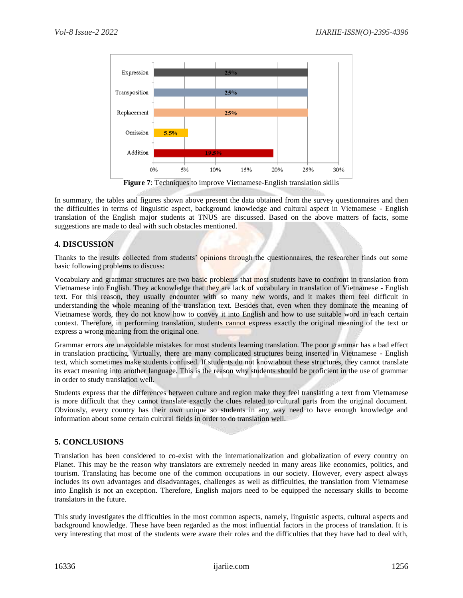

In summary, the tables and figures shown above present the data obtained from the survey questionnaires and then the difficulties in terms of linguistic aspect, background knowledge and cultural aspect in Vietnamese - English translation of the English major students at TNUS are discussed. Based on the above matters of facts, some suggestions are made to deal with such obstacles mentioned.

# **4. DISCUSSION**

Thanks to the results collected from students' opinions through the questionnaires, the researcher finds out some basic following problems to discuss:

Vocabulary and grammar structures are two basic problems that most students have to confront in translation from Vietnamese into English. They acknowledge that they are lack of vocabulary in translation of Vietnamese - English text. For this reason, they usually encounter with so many new words, and it makes them feel difficult in understanding the whole meaning of the translation text. Besides that, even when they dominate the meaning of Vietnamese words, they do not know how to convey it into English and how to use suitable word in each certain context. Therefore, in performing translation, students cannot express exactly the original meaning of the text or express a wrong meaning from the original one.

Grammar errors are unavoidable mistakes for most students learning translation. The poor grammar has a bad effect in translation practicing. Virtually, there are many complicated structures being inserted in Vietnamese - English text, which sometimes make students confused. If students do not know about these structures, they cannot translate its exact meaning into another language. This is the reason why students should be proficient in the use of grammar in order to study translation well.

Students express that the differences between culture and region make they feel translating a text from Vietnamese is more difficult that they cannot translate exactly the clues related to cultural parts from the original document. Obviously, every country has their own unique so students in any way need to have enough knowledge and information about some certain cultural fields in order to do translation well.

# **5. CONCLUSIONS**

Translation has been considered to co-exist with the internationalization and globalization of every country on Planet. This may be the reason why translators are extremely needed in many areas like economics, politics, and tourism. Translating has become one of the common occupations in our society. However, every aspect always includes its own advantages and disadvantages, challenges as well as difficulties, the translation from Vietnamese into English is not an exception. Therefore, English majors need to be equipped the necessary skills to become translators in the future.

This study investigates the difficulties in the most common aspects, namely, linguistic aspects, cultural aspects and background knowledge. These have been regarded as the most influential factors in the process of translation. It is very interesting that most of the students were aware their roles and the difficulties that they have had to deal with,